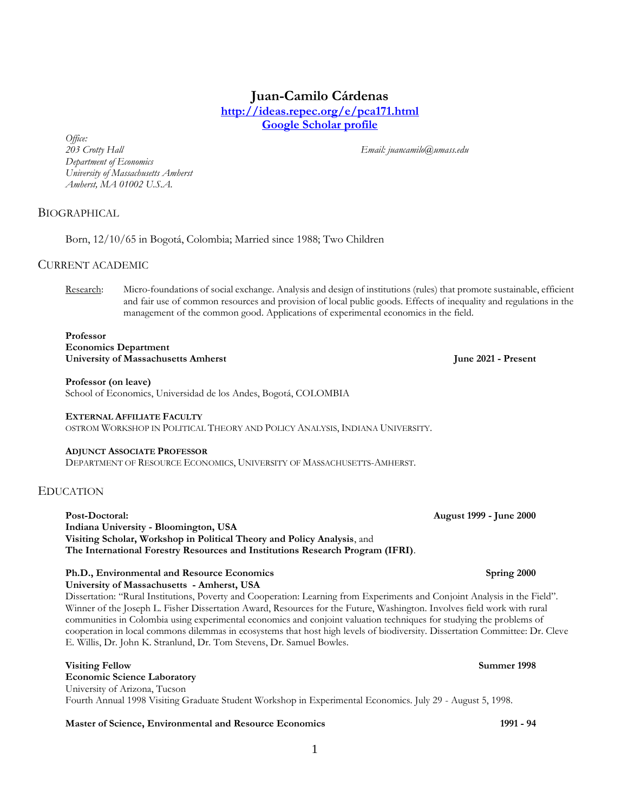# **Juan-Camilo Cárdenas <http://ideas.repec.org/e/pca171.html>**

**[Google Scholar profile](https://scholar.google.com.co/citations?user=yfeFFpIAAAAJ&hl=en)**

*Office: Department of Economics University of Massachusetts Amherst Amherst, MA 01002 U.S.A.*

*203 Crotty Hall Email: juancamilo@umass.edu*

## BIOGRAPHICAL

Born, 12/10/65 in Bogotá, Colombia; Married since 1988; Two Children

## CURRENT ACADEMIC

Research: Micro-foundations of social exchange. Analysis and design of institutions (rules) that promote sustainable, efficient and fair use of common resources and provision of local public goods. Effects of inequality and regulations in the management of the common good. Applications of experimental economics in the field.

### **Professor Economics Department**

**University of Massachusetts Amherst June 2021 - Present**

### **Professor (on leave)**

School of Economics, Universidad de los Andes, Bogotá, COLOMBIA

### **EXTERNAL AFFILIATE FACULTY**

OSTROM WORKSHOP IN POLITICAL THEORY AND POLICY ANALYSIS, INDIANA UNIVERSITY.

### **ADJUNCT ASSOCIATE PROFESSOR**

DEPARTMENT OF RESOURCE ECONOMICS, UNIVERSITY OF MASSACHUSETTS-AMHERST.

## EDUCATION

**Post-Doctoral: August 1999 - June 2000 Indiana University - Bloomington, USA Visiting Scholar, Workshop in Political Theory and Policy Analysis**, and **The International Forestry Resources and Institutions Research Program (IFRI)**.

# **Ph.D., Environmental and Resource Economics Spring 2000**

**University of Massachusetts - Amherst, USA** Dissertation: "Rural Institutions, Poverty and Cooperation: Learning from Experiments and Conjoint Analysis in the Field". Winner of the Joseph L. Fisher Dissertation Award, Resources for the Future, Washington. Involves field work with rural communities in Colombia using experimental economics and conjoint valuation techniques for studying the problems of cooperation in local commons dilemmas in ecosystems that host high levels of biodiversity. Dissertation Committee: Dr. Cleve E. Willis, Dr. John K. Stranlund, Dr. Tom Stevens, Dr. Samuel Bowles.

# **Visiting Fellow Summer 1998**

**Economic Science Laboratory** University of Arizona, Tucson Fourth Annual 1998 Visiting Graduate Student Workshop in Experimental Economics. July 29 - August 5, 1998.

### **Master of Science, Environmental and Resource Economics 1991 - 94**

1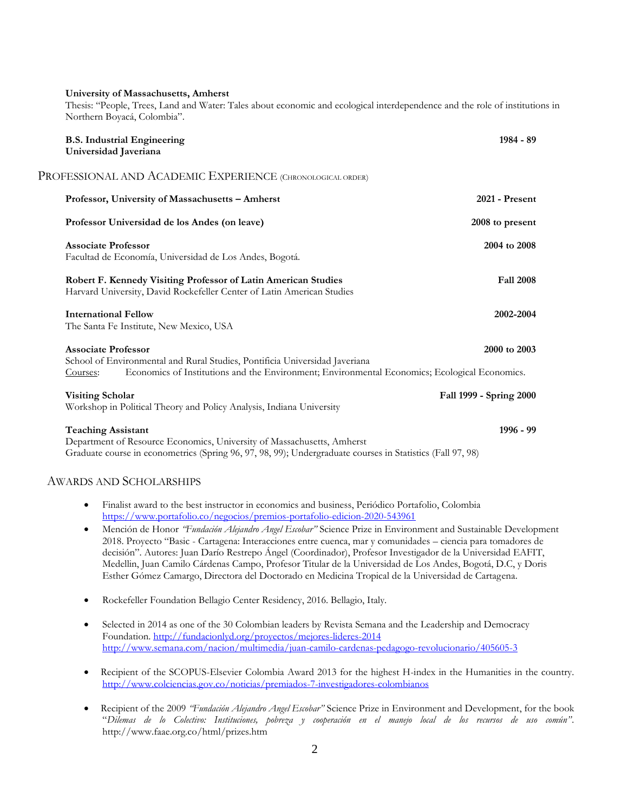### **University of Massachusetts, Amherst**

Thesis: "People, Trees, Land and Water: Tales about economic and ecological interdependence and the role of institutions in Northern Boyacá, Colombia".

| <b>B.S. Industrial Engineering</b><br>Universidad Javeriana                                                                                                                                                            | $1984 - 89$             |
|------------------------------------------------------------------------------------------------------------------------------------------------------------------------------------------------------------------------|-------------------------|
| PROFESSIONAL AND ACADEMIC EXPERIENCE (CHRONOLOGICAL ORDER)                                                                                                                                                             |                         |
| Professor, University of Massachusetts - Amherst                                                                                                                                                                       | 2021 - Present          |
| Professor Universidad de los Andes (on leave)                                                                                                                                                                          | 2008 to present         |
| <b>Associate Professor</b><br>Facultad de Economía, Universidad de Los Andes, Bogotá.                                                                                                                                  | 2004 to 2008            |
| Robert F. Kennedy Visiting Professor of Latin American Studies<br>Harvard University, David Rockefeller Center of Latin American Studies                                                                               | <b>Fall 2008</b>        |
| <b>International Fellow</b><br>The Santa Fe Institute, New Mexico, USA                                                                                                                                                 | 2002-2004               |
| <b>Associate Professor</b><br>School of Environmental and Rural Studies, Pontificia Universidad Javeriana<br>Economics of Institutions and the Environment; Environmental Economics; Ecological Economics.<br>Courses: | 2000 to 2003            |
| <b>Visiting Scholar</b><br>Workshop in Political Theory and Policy Analysis, Indiana University                                                                                                                        | Fall 1999 - Spring 2000 |
| <b>Teaching Assistant</b><br>Department of Resource Economics, University of Massachusetts, Amherst<br>Graduate course in econometrics (Spring 96, 97, 98, 99); Undergraduate courses in Statistics (Fall 97, 98)      | 1996 - 99               |
| <b>AWARDS AND SCHOLARSHIPS</b>                                                                                                                                                                                         |                         |

- Finalist award to the best instructor in economics and business, Periódico Portafolio, Colombia <https://www.portafolio.co/negocios/premios-portafolio-edicion-2020-543961>
- Mención de Honor *"Fundación Alejandro Angel Escobar"* Science Prize in Environment and Sustainable Development 2018. Proyecto "Basic - Cartagena: Interacciones entre cuenca, mar y comunidades – ciencia para tomadores de decisión". Autores: Juan Darío Restrepo Ángel (Coordinador), Profesor Investigador de la Universidad EAFIT, Medellin, Juan Camilo Cárdenas Campo, Profesor Titular de la Universidad de Los Andes, Bogotá, D.C, y Doris Esther Gómez Camargo, Directora del Doctorado en Medicina Tropical de la Universidad de Cartagena.
- Rockefeller Foundation Bellagio Center Residency, 2016. Bellagio, Italy.
- Selected in 2014 as one of the 30 Colombian leaders by Revista Semana and the Leadership and Democracy Foundation[. http://fundacionlyd.org/proyectos/mejores-lideres-2014](http://fundacionlyd.org/proyectos/mejores-lideres-2014) <http://www.semana.com/nacion/multimedia/juan-camilo-cardenas-pedagogo-revolucionario/405605-3>
- Recipient of the SCOPUS-Elsevier Colombia Award 2013 for the highest H-index in the Humanities in the country. <http://www.colciencias.gov.co/noticias/premiados-7-investigadores-colombianos>
- Recipient of the 2009 *"Fundación Alejandro Angel Escobar"* Science Prize in Environment and Development, for the book "*Dilemas de lo Colectivo: Instituciones, pobreza y cooperación en el manejo local de los recursos de uso común".* http://www.faae.org.co/html/prizes.htm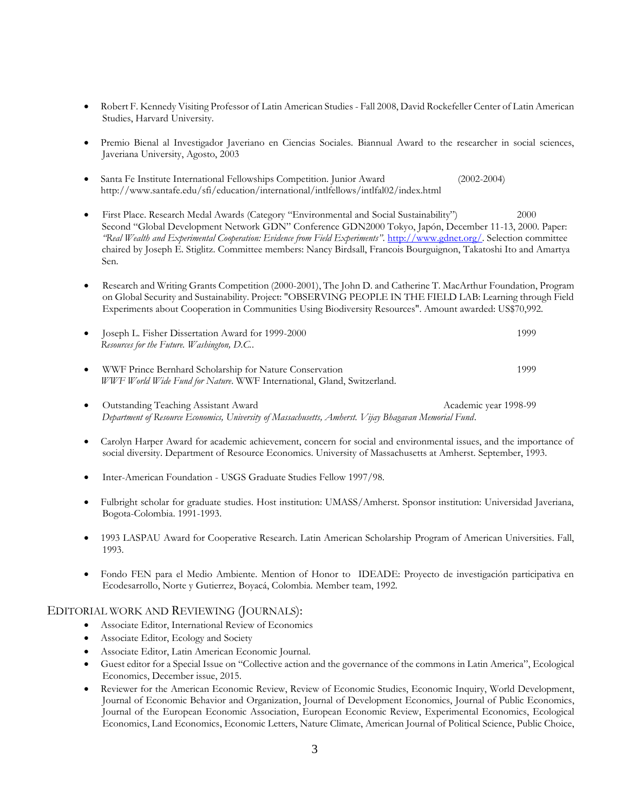- Robert F. Kennedy Visiting Professor of Latin American Studies Fall 2008, David Rockefeller Center of Latin American Studies, Harvard University.
- Premio Bienal al Investigador Javeriano en Ciencias Sociales. Biannual Award to the researcher in social sciences, Javeriana University, Agosto, 2003
- Santa Fe Institute International Fellowships Competition. Junior Award (2002-2004) http://www.santafe.edu/sfi/education/international/intlfellows/intlfal02/index.html
- First Place. Research Medal Awards (Category "Environmental and Social Sustainability") 2000 Second "Global Development Network GDN" Conference GDN2000 Tokyo, Japón, December 11-13, 2000. Paper: *"Real Wealth and Experimental Cooperation: Evidence from Field Experiments"*. [http://www.gdnet.org/.](http://www.gdnet.org/) Selection committee chaired by Joseph E. Stiglitz. Committee members: Nancy Birdsall, Francois Bourguignon, Takatoshi Ito and Amartya Sen.
- Research and Writing Grants Competition (2000-2001), The John D. and Catherine T. MacArthur Foundation, Program on Global Security and Sustainability. Project: "OBSERVING PEOPLE IN THE FIELD LAB: Learning through Field Experiments about Cooperation in Communities Using Biodiversity Resources". Amount awarded: US\$70,992.
- Joseph L. Fisher Dissertation Award for 1999-2000 1999 1999 *Resources for the Future. Washington, D.C.*.
- WWF Prince Bernhard Scholarship for Nature Conservation 1999 *WWF World Wide Fund for Nature*. WWF International, Gland, Switzerland.
- Outstanding Teaching Assistant Award Academic year 1998-99 *Department of Resource Economics, University of Massachusetts, Amherst. Vijay Bhagavan Memorial Fund*.
- Carolyn Harper Award for academic achievement, concern for social and environmental issues, and the importance of social diversity. Department of Resource Economics. University of Massachusetts at Amherst. September, 1993.
- Inter-American Foundation USGS Graduate Studies Fellow 1997/98.
- Fulbright scholar for graduate studies. Host institution: UMASS/Amherst. Sponsor institution: Universidad Javeriana, Bogota-Colombia. 1991-1993.
- 1993 LASPAU Award for Cooperative Research. Latin American Scholarship Program of American Universities. Fall, 1993.
- Fondo FEN para el Medio Ambiente. Mention of Honor to IDEADE: Proyecto de investigación participativa en Ecodesarrollo, Norte y Gutierrez, Boyacá, Colombia. Member team, 1992.

### EDITORIAL WORK AND REVIEWING (JOURNALS):

- Associate Editor, International Review of Economics
- Associate Editor, Ecology and Society
- Associate Editor, Latin American Economic Journal.
- Guest editor for a Special Issue on "Collective action and the governance of the commons in Latin America", Ecological Economics, December issue, 2015.
- Reviewer for the American Economic Review, Review of Economic Studies, Economic Inquiry, World Development, Journal of Economic Behavior and Organization, Journal of Development Economics, Journal of Public Economics, Journal of the European Economic Association, European Economic Review, Experimental Economics, Ecological Economics, Land Economics, Economic Letters, Nature Climate, American Journal of Political Science, Public Choice,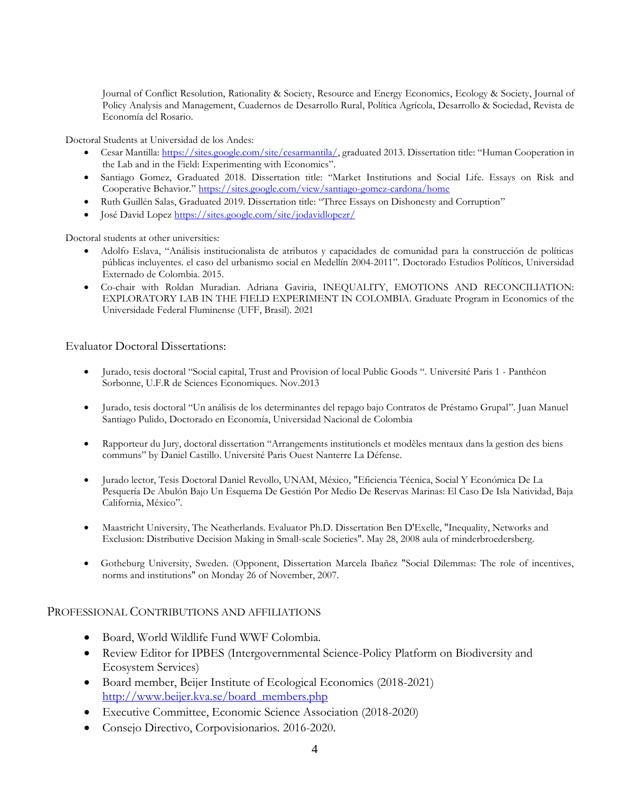Journal of Conflict Resolution, Rationality & Society, Resource and Energy Economics, Ecology & Society, Journal of Policy Analysis and Management, Cuadernos de Desarrollo Rural, Política Agrícola, Desarrollo & Sociedad, Revista de Economía del Rosario.

Doctoral Students at Universidad de los Andes:

- Cesar Mantilla: [https://sites.google.com/site/cesarmantila/,](https://sites.google.com/site/cesarmantila/) graduated 2013. Dissertation title: "Human Cooperation in the Lab and in the Field: Experimenting with Economics".
- Santiago Gomez, Graduated 2018. Dissertation title: "Market Institutions and Social Life. Essays on Risk and Cooperative Behavior." <https://sites.google.com/view/santiago-gomez-cardona/home>
- Ruth Guillén Salas, Graduated 2019. Dissertation title: "Three Essays on Dishonesty and Corruption"
- José David Lopez <https://sites.google.com/site/jodavidlopezr/>

Doctoral students at other universities:

- Adolfo Eslava, "Análisis institucionalista de atributos y capacidades de comunidad para la construcción de políticas públicas incluyentes. el caso del urbanismo social en Medellín 2004-2011". Doctorado Estudios Políticos, Universidad Externado de Colombia. 2015.
- Co-chair with Roldan Muradian. Adriana Gaviria, INEQUALITY, EMOTIONS AND RECONCILIATION: EXPLORATORY LAB IN THE FIELD EXPERIMENT IN COLOMBIA. Graduate Program in Economics of the Universidade Federal Fluminense (UFF, Brasil). 2021

Evaluator Doctoral Dissertations:

- Jurado, tesis doctoral "Social capital, Trust and Provision of local Public Goods ". Université Paris 1 Panthéon Sorbonne, U.F.R de Sciences Economiques. Nov.2013
- Jurado, tesis doctoral "Un análisis de los determinantes del repago bajo Contratos de Préstamo Grupal". Juan Manuel Santiago Pulido, Doctorado en Economía, Universidad Nacional de Colombia
- Rapporteur du Jury, doctoral dissertation "Arrangements institutionels et modèles mentaux dans la gestion des biens communs" by Daniel Castillo. Université Paris Ouest Nanterre La Défense.
- Jurado lector, Tesis Doctoral Daniel Revollo, UNAM, México, "Eficiencia Técnica, Social Y Económica De La Pesquería De Abulón Bajo Un Esquema De Gestión Por Medio De Reservas Marinas: El Caso De Isla Natividad, Baja California, México".
- Maastricht University, The Neatherlands. Evaluator Ph.D. Dissertation Ben D'Exelle, "Inequality, Networks and Exclusion: Distributive Decision Making in Small-scale Societies". May 28, 2008 aula of minderbroedersberg.
- Gotheburg University, Sweden. (Opponent, Dissertation Marcela Ibañez "Social Dilemmas: The role of incentives, norms and institutions" on Monday 26 of November, 2007.

# PROFESSIONAL CONTRIBUTIONS AND AFFILIATIONS

- Board, World Wildlife Fund WWF Colombia.
- Review Editor for IPBES (Intergovernmental Science-Policy Platform on Biodiversity and Ecosystem Services)
- Board member, Beijer Institute of Ecological Economics (2018-2021) [http://www.beijer.kva.se/board\\_members.php](http://www.beijer.kva.se/board_members.php)
- Executive Committee, Economic Science Association (2018-2020)
- Consejo Directivo, Corpovisionarios. 2016-2020.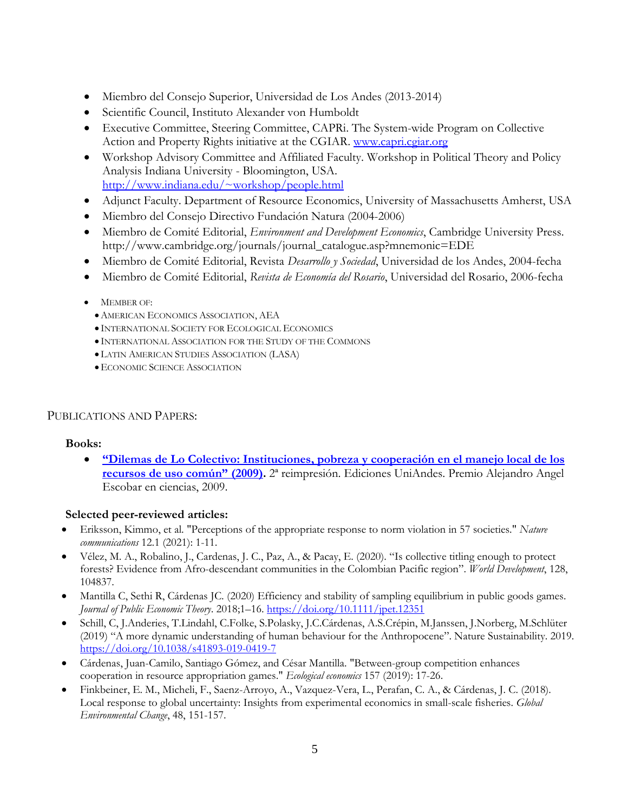- Miembro del Consejo Superior, Universidad de Los Andes (2013-2014)
- Scientific Council, Instituto Alexander von Humboldt
- Executive Committee, Steering Committee, CAPRi. The System-wide Program on Collective Action and Property Rights initiative at the CGIAR. [www.capri.cgiar.org](http://www.capri.cgiar.org/)
- Workshop Advisory Committee and Affiliated Faculty. Workshop in Political Theory and Policy Analysis Indiana University - Bloomington, USA. <http://www.indiana.edu/~workshop/people.html>
- Adjunct Faculty. Department of Resource Economics, University of Massachusetts Amherst, USA
- Miembro del Consejo Directivo Fundación Natura (2004-2006)
- Miembro de Comité Editorial, *Environment and Development Economics*, Cambridge University Press. http://www.cambridge.org/journals/journal\_catalogue.asp?mnemonic=EDE
- Miembro de Comité Editorial, Revista *Desarrollo y Sociedad*, Universidad de los Andes, 2004-fecha
- Miembro de Comité Editorial, *Revista de Economía del Rosario*, Universidad del Rosario, 2006-fecha
- $\bullet$  MEMBER OF:
	- AMERICAN ECONOMICS ASSOCIATION, AEA
	- INTERNATIONAL SOCIETY FOR ECOLOGICAL ECONOMICS
	- INTERNATIONAL ASSOCIATION FOR THE STUDY OF THE COMMONS
	- LATIN AMERICAN STUDIES ASSOCIATION (LASA)
	- ECONOMIC SCIENCE ASSOCIATION

# PUBLICATIONS AND PAPERS:

# **Books:**

 **["Dilemas de Lo Colectivo: Instituciones, pobreza y cooperación en el manejo local de los](http://www.lalibreriadelau.com/catalog/product_info.php/products_id/20485) [recursos de uso común"](http://www.lalibreriadelau.com/catalog/product_info.php/products_id/20485) (2009).** 2ª reimpresión. Ediciones UniAndes. Premio Alejandro Angel Escobar en ciencias, 2009.

# **Selected peer-reviewed articles:**

- Eriksson, Kimmo, et al. "Perceptions of the appropriate response to norm violation in 57 societies." *Nature communications* 12.1 (2021): 1-11.
- Vélez, M. A., Robalino, J., Cardenas, J. C., Paz, A., & Pacay, E. (2020). "Is collective titling enough to protect forests? Evidence from Afro-descendant communities in the Colombian Pacific region". *World Development*, 128, 104837.
- Mantilla C, Sethi R, Cárdenas JC. (2020) Efficiency and stability of sampling equilibrium in public goods games. *Journal of Public Economic Theory*. 2018;1–16.<https://doi.org/10.1111/jpet.12351>
- Schill, C, J.Anderies, T.Lindahl, C.Folke, S.Polasky, J.C.Cárdenas, A.S.Crépin, M.Janssen, J.Norberg, M.Schlüter (2019) "A more dynamic understanding of human behaviour for the Anthropocene". Nature Sustainability. 2019. <https://doi.org/10.1038/s41893-019-0419-7>
- Cárdenas, Juan-Camilo, Santiago Gómez, and César Mantilla. "Between-group competition enhances cooperation in resource appropriation games." *Ecological economics* 157 (2019): 17-26.
- Finkbeiner, E. M., Micheli, F., Saenz-Arroyo, A., Vazquez-Vera, L., Perafan, C. A., & Cárdenas, J. C. (2018). Local response to global uncertainty: Insights from experimental economics in small-scale fisheries. *Global Environmental Change*, 48, 151-157.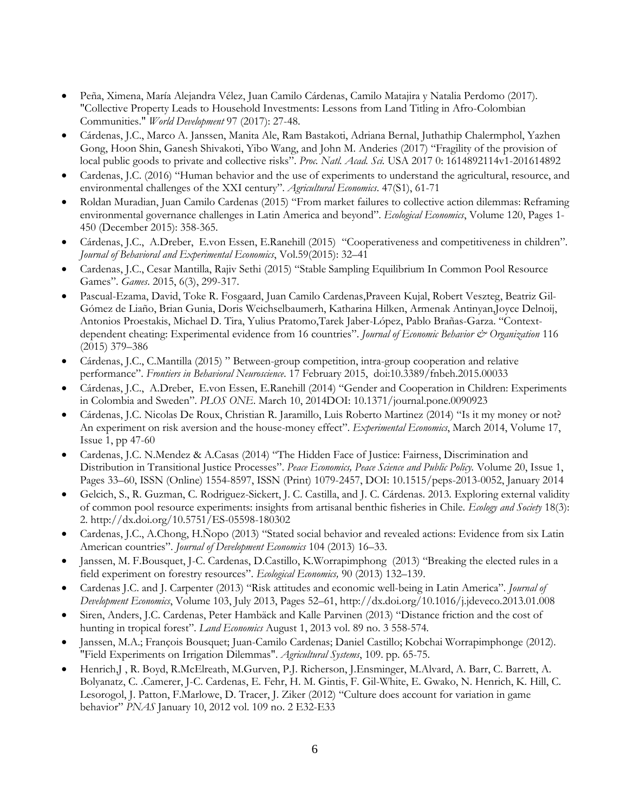- Peña, Ximena, María Alejandra Vélez, Juan Camilo Cárdenas, Camilo Matajira y Natalia Perdomo (2017). "Collective Property Leads to Household Investments: Lessons from Land Titling in Afro-Colombian Communities." *World Development* 97 (2017): 27-48.
- Cárdenas, J.C., Marco A. Janssen, Manita Ale, Ram Bastakoti, Adriana Bernal, Juthathip Chalermphol, Yazhen Gong, Hoon Shin, Ganesh Shivakoti, Yibo Wang, and John M. Anderies (2017) "Fragility of the provision of local public goods to private and collective risks". *Proc. Natl. Acad. Sci.* USA 2017 0: 1614892114v1-201614892
- Cardenas, J.C. (2016) "Human behavior and the use of experiments to understand the agricultural, resource, and environmental challenges of the XXI century". *Agricultural Economics*. 47(S1), 61-71
- Roldan Muradian, Juan Camilo Cardenas (2015) "From market failures to collective action dilemmas: Reframing environmental governance challenges in Latin America and beyond". *Ecological Economics*, Volume 120, Pages 1- 450 (December 2015): 358-365.
- Cárdenas, J.C., A.Dreber, E.von Essen, E.Ranehill (2015) "Cooperativeness and competitiveness in children". *Journal of Behavioral and Experimental Economics*, Vol.59(2015): 32–41
- Cardenas, J.C., Cesar Mantilla, Rajiv Sethi (2015) "Stable Sampling Equilibrium In Common Pool Resource Games". *Games*. 2015, 6(3), 299-317.
- Pascual-Ezama, David, Toke R. Fosgaard, Juan Camilo Cardenas,Praveen Kujal, Robert Veszteg, Beatriz Gil-Gómez de Liaño, Brian Gunia, Doris Weichselbaumerh, Katharina Hilken, Armenak Antinyan,Joyce Delnoij, Antonios Proestakis, Michael D. Tira, Yulius Pratomo,Tarek Jaber-López, Pablo Brañas-Garza. "Contextdependent cheating: Experimental evidence from 16 countries". *Journal of Economic Behavior & Organization* 116 (2015) 379–386
- Cárdenas, J.C., C.Mantilla (2015) " Between-group competition, intra-group cooperation and relative performance". *Frontiers in Behavioral Neuroscience*. 17 February 2015, doi:10.3389/fnbeh.2015.00033
- Cárdenas, J.C., A.Dreber, E.von Essen, E.Ranehill (2014) "Gender and Cooperation in Children: Experiments in Colombia and Sweden". *PLOS ONE*. March 10, 2014DOI: 10.1371/journal.pone.0090923
- Cárdenas, J.C. Nicolas De Roux, Christian R. Jaramillo, Luis Roberto Martinez (2014) "Is it my money or not? An experiment on risk aversion and the house-money effect". *Experimental Economics*, March 2014, Volume 17, Issue 1, pp 47-60
- Cardenas, J.C. N.Mendez & A.Casas (2014) "The Hidden Face of Justice: Fairness, Discrimination and Distribution in Transitional Justice Processes". *Peace Economics, Peace Science and Public Policy.* Volume 20, Issue 1, Pages 33–60, ISSN (Online) 1554-8597, ISSN (Print) 1079-2457, DOI: 10.1515/peps-2013-0052, January 2014
- Gelcich, S., R. Guzman, C. Rodriguez-Sickert, J. C. Castilla, and J. C. Cárdenas. 2013. Exploring external validity of common pool resource experiments: insights from artisanal benthic fisheries in Chile. *Ecology and Society* 18(3): 2. http://dx.doi.org/10.5751/ES-05598-180302
- Cardenas, J.C., A.Chong, H.Ñopo (2013) "Stated social behavior and revealed actions: Evidence from six Latin American countries". *Journal of Development Economics* 104 (2013) 16–33.
- Janssen, M. F.Bousquet, J-C. Cardenas, D.Castillo, K.Worrapimphong (2013) "Breaking the elected rules in a field experiment on forestry resources". *Ecological Economics,* 90 (2013) 132–139.
- Cardenas J.C. and J. Carpenter (2013) "Risk attitudes and economic well-being in Latin America". *Journal of Development Economics*, Volume 103, July 2013, Pages 52–61, http://dx.doi.org/10.1016/j.jdeveco.2013.01.008
- Siren, Anders, J.C. Cardenas, Peter Hambäck and Kalle Parvinen (2013) "Distance friction and the cost of hunting in tropical forest". *Land Economics* August 1, 2013 vol. 89 no. 3 558-574*.*
- Janssen, M.A.; François Bousquet; Juan-Camilo Cardenas; Daniel Castillo; Kobchai Worrapimphonge (2012). "Field Experiments on Irrigation Dilemmas". *Agricultural Systems*, 109. pp. 65-75.
- Henrich,J , R. Boyd, R.McElreath, M.Gurven, P.J. Richerson, J.Ensminger, M.Alvard, A. Barr, C. Barrett, A. Bolyanatz, C. .Camerer, J-C. Cardenas, E. Fehr, H. M. Gintis, F. Gil-White, E. Gwako, N. Henrich, K. Hill, C. Lesorogol, J. Patton, F.Marlowe, D. Tracer, J. Ziker (2012) "Culture does account for variation in game behavior" *PNAS* January 10, 2012 vol. 109 no. 2 E32-E33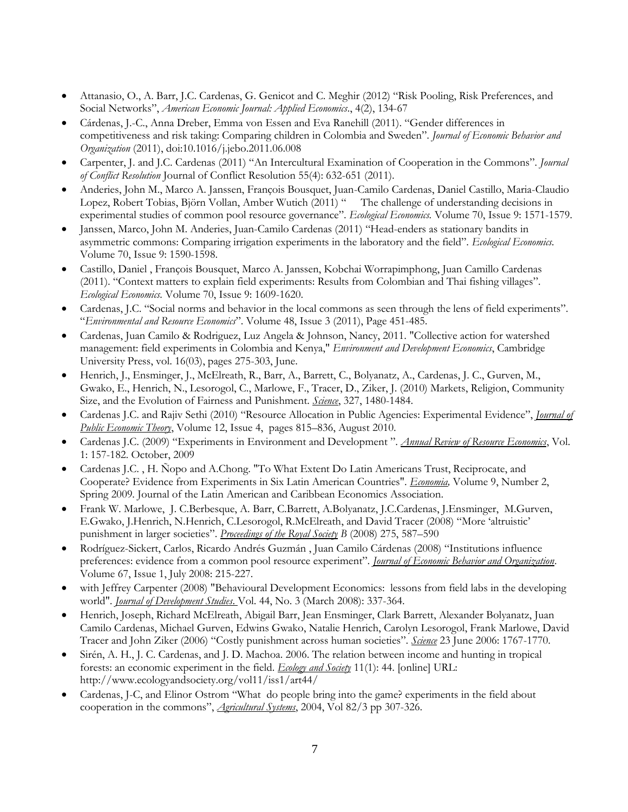- Attanasio, O., A. Barr, J.C. Cardenas, G. Genicot and C. Meghir (2012) "Risk Pooling, Risk Preferences, and Social Networks", *American Economic Journal: Applied Economics*., 4(2), 134-67
- Cárdenas, J.-C., Anna Dreber, Emma von Essen and Eva Ranehill (2011). "Gender differences in competitiveness and risk taking: Comparing children in Colombia and Sweden". *Journal of Economic Behavior and Organization* (2011), doi:10.1016/j.jebo.2011.06.008
- Carpenter, J. and J.C. Cardenas (2011) "An Intercultural Examination of Cooperation in the Commons". *Journal of Conflict Resolution* Journal of Conflict Resolution 55(4): 632-651 (2011).
- Anderies, John M., Marco A. Janssen, François Bousquet, Juan-Camilo Cardenas, Daniel Castillo, Maria-Claudio Lopez, Robert Tobias, Björn Vollan, Amber Wutich (2011) " The challenge of understanding decisions in experimental studies of common pool resource governance". *Ecological Economics.* Volume 70, Issue 9: 1571-1579.
- Janssen, Marco, John M. Anderies, Juan-Camilo Cardenas (2011) "Head-enders as stationary bandits in asymmetric commons: Comparing irrigation experiments in the laboratory and the field". *Ecological Economics.* Volume 70, Issue 9: 1590-1598.
- Castillo, Daniel , François Bousquet, Marco A. Janssen, Kobchai Worrapimphong, Juan Camillo Cardenas (2011). "Context matters to explain field experiments: Results from Colombian and Thai fishing villages". *Ecological Economics.* Volume 70, Issue 9: 1609-1620.
- Cardenas, J.C. "Social norms and behavior in the local commons as seen through the lens of field experiments". "*Environmental and Resource Economics*". Volume 48, Issue 3 (2011), Page 451-485.
- Cardenas, Juan Camilo & Rodriguez, Luz Angela & Johnson, Nancy, 2011. "Collective action for watershed management: field experiments in Colombia and Kenya," *Environment and Development Economics*, Cambridge University Press, vol. 16(03), pages 275-303, June.
- Henrich, J., Ensminger, J., McElreath, R., Barr, A., Barrett, C., Bolyanatz, A., Cardenas, J. C., Gurven, M., Gwako, E., Henrich, N., Lesorogol, C., Marlowe, F., Tracer, D., Ziker, J. (2010) Markets, Religion, Community Size, and the Evolution of Fairness and Punishment. *Science*, 327, 1480-1484.
- Cardenas J.C. and Rajiv Sethi (2010) "Resource Allocation in Public Agencies: Experimental Evidence", *Journal of Public Economic Theory*, Volume 12, Issue 4, pages 815–836, August 2010.
- Cardenas J.C. (2009) "Experiments in Environment and Development ". *Annual Review of Resource Economics*, Vol. 1: 157-182. October, 2009
- Cardenas J.C. , H. Ñopo and A.Chong. "To What Extent Do Latin Americans Trust, Reciprocate, and Cooperate? Evidence from Experiments in Six Latin American Countries". *Economia,* Volume 9, Number 2, Spring 2009*.* Journal of the Latin American and Caribbean Economics Association.
- Frank W. Marlowe, J. C.Berbesque, A. Barr, C.Barrett, A.Bolyanatz, J.C.Cardenas, J.Ensminger, M.Gurven, E.Gwako, J.Henrich, N.Henrich, C.Lesorogol, R.McElreath, and David Tracer (2008) "More 'altruistic' punishment in larger societies". *Proceedings of the Royal Society B* (2008) 275, 587–590
- Rodríguez-Sickert, Carlos, Ricardo Andrés Guzmán , Juan Camilo Cárdenas (2008) "Institutions influence preferences: evidence from a common pool resource experiment". *Journal of Economic Behavior and Organization*. Volume 67, Issue 1, July 2008: 215-227.
- with Jeffrey Carpenter (2008) "Behavioural Development Economics: lessons from field labs in the developing world". *Journal of Development Studies*. Vol. 44, No. 3 (March 2008): 337-364.
- Henrich, Joseph, Richard McElreath, Abigail Barr, Jean Ensminger, Clark Barrett, Alexander Bolyanatz, Juan Camilo Cardenas, Michael Gurven, Edwins Gwako, Natalie Henrich, Carolyn Lesorogol, Frank Marlowe, David Tracer and John Ziker (2006) "Costly punishment across human societies". *Science* 23 June 2006: 1767-1770.
- Sirén, A. H., J. C. Cardenas, and J. D. Machoa. 2006. The relation between income and hunting in tropical forests: an economic experiment in the field. *Ecology and Society* 11(1): 44. [online] URL: http://www.ecologyandsociety.org/vol11/iss1/art44/
- Cardenas, J-C, and Elinor Ostrom "What do people bring into the game? experiments in the field about cooperation in the commons", *Agricultural Systems*, 2004, Vol 82/3 pp 307-326.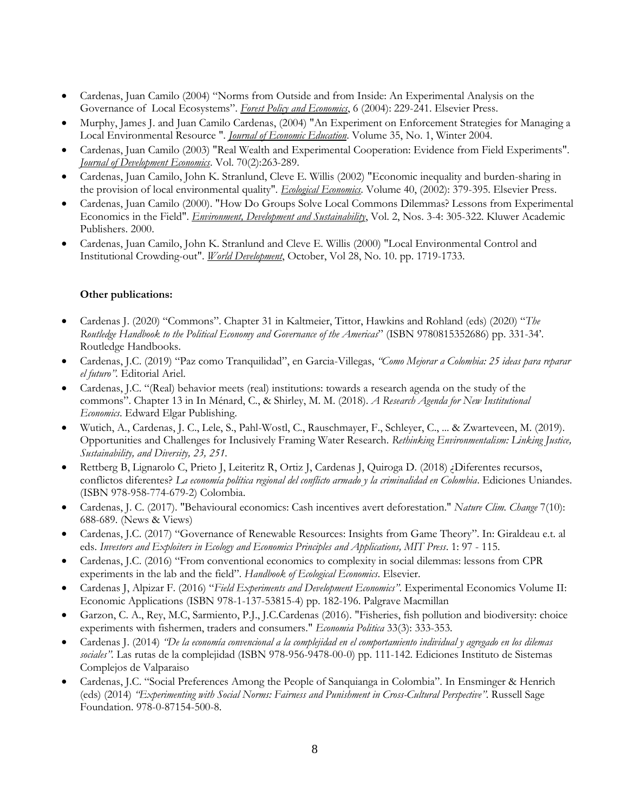- Cardenas, Juan Camilo (2004) "Norms from Outside and from Inside: An Experimental Analysis on the Governance of Local Ecosystems". *Forest Policy and Economics*, 6 (2004): 229-241. Elsevier Press.
- Murphy, James J. and Juan Camilo Cardenas, (2004) "An Experiment on Enforcement Strategies for Managing a Local Environmental Resource ". *Journal of Economic Education*. Volume 35, No. 1, Winter 2004.
- Cardenas, Juan Camilo (2003) "Real Wealth and Experimental Cooperation: Evidence from Field Experiments". *Journal of Development Economics*. Vol. 70(2):263-289.
- Cardenas, Juan Camilo, John K. Stranlund, Cleve E. Willis (2002) "Economic inequality and burden-sharing in the provision of local environmental quality". *Ecological Economics*. Volume 40, (2002): 379-395. Elsevier Press.
- Cardenas, Juan Camilo (2000). "How Do Groups Solve Local Commons Dilemmas? Lessons from Experimental Economics in the Field". *Environment, Development and Sustainability*, Vol. 2, Nos. 3-4: 305-322. Kluwer Academic Publishers. 2000.
- Cardenas, Juan Camilo, John K. Stranlund and Cleve E. Willis (2000) "Local Environmental Control and Institutional Crowding-out". *World Development*, October, Vol 28, No. 10. pp. 1719-1733.

## **Other publications:**

- Cardenas J. (2020) "Commons". Chapter 31 in Kaltmeier, Tittor, Hawkins and Rohland (eds) (2020) "*The Routledge Handbook to the Political Economy and Governance of the Americas*" (ISBN 9780815352686) pp. 331-34'. Routledge Handbooks.
- Cardenas, J.C. (2019) "Paz como Tranquilidad", en Garcia-Villegas, *"Como Mejorar a Colombia: 25 ideas para reparar el futuro".* Editorial Ariel.
- Cardenas, J.C. "(Real) behavior meets (real) institutions: towards a research agenda on the study of the commons". Chapter 13 in In Ménard, C., & Shirley, M. M. (2018). *A Research Agenda for New Institutional Economics*. Edward Elgar Publishing.
- Wutich, A., Cardenas, J. C., Lele, S., Pahl-Wostl, C., Rauschmayer, F., Schleyer, C., ... & Zwarteveen, M. (2019). Opportunities and Challenges for Inclusively Framing Water Research. *Rethinking Environmentalism: Linking Justice, Sustainability, and Diversity, 23, 251.*
- Rettberg B, Lignarolo C, Prieto J, Leiteritz R, Ortiz J, Cardenas J, Quiroga D. (2018) ¿Diferentes recursos, conflictos diferentes? *La economía política regional del conflicto armado y la criminalidad en Colombia*. Ediciones Uniandes. (ISBN 978-958-774-679-2) Colombia.
- Cardenas, J. C. (2017). "Behavioural economics: Cash incentives avert deforestation." *Nature Clim. Change* 7(10): 688-689. (News & Views)
- Cardenas, J.C. (2017) "Governance of Renewable Resources: Insights from Game Theory". In: Giraldeau e.t. al eds. *Investors and Exploiters in Ecology and Economics Principles and Applications, MIT Press*. 1: 97 - 115.
- Cardenas, J.C. (2016) "From conventional economics to complexity in social dilemmas: lessons from CPR experiments in the lab and the field". *Handbook of Ecological Economics*. Elsevier.
- Cardenas J, Alpizar F. (2016) "*Field Experiments and Development Economics"*. Experimental Economics Volume II: Economic Applications (ISBN 978-1-137-53815-4) pp. 182-196. Palgrave Macmillan
- Garzon, C. A., Rey, M.C, Sarmiento, P.J., J.C.Cardenas (2016). "Fisheries, fish pollution and biodiversity: choice experiments with fishermen, traders and consumers." *Economia Politica* 33(3): 333-353.
- Cardenas J. (2014) *"De la economía convencional a la complejidad en el comportamiento individual y agregado en los dilemas sociales".* Las rutas de la complejidad (ISBN 978-956-9478-00-0) pp. 111-142. Ediciones Instituto de Sistemas Complejos de Valparaiso
- Cardenas, J.C. "Social Preferences Among the People of Sanquianga in Colombia". In Ensminger & Henrich (eds) (2014) *"Experimenting with Social Norms: Fairness and Punishment in Cross-Cultural Perspective"*. Russell Sage Foundation. 978-0-87154-500-8.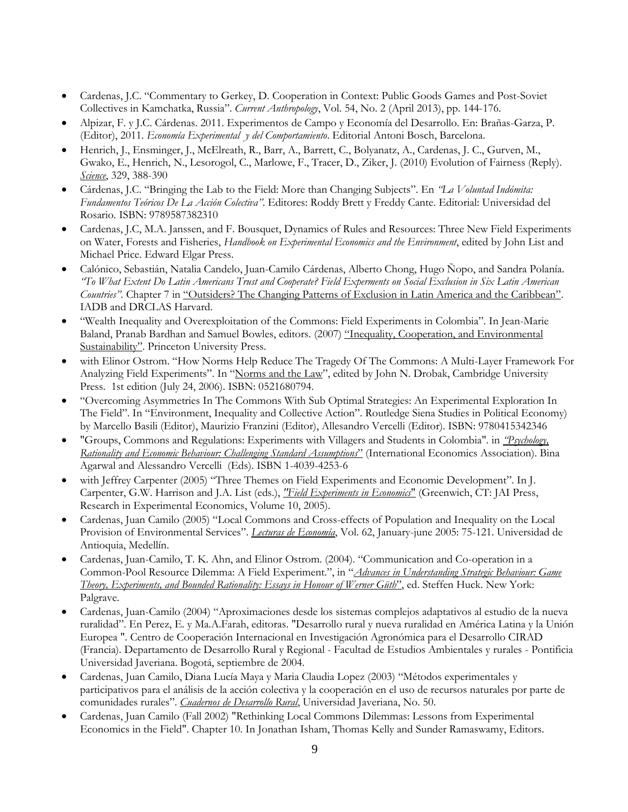- Cardenas, J.C. "Commentary to Gerkey, D. Cooperation in Context: Public Goods Games and Post-Soviet Collectives in Kamchatka, Russia". *Current Anthropology*, Vol. 54, No. 2 (April 2013), pp. 144-176.
- Alpizar, F. y J.C. Cárdenas. 2011. Experimentos de Campo y Economía del Desarrollo. En: Brañas-Garza, P. (Editor), 2011. *Economía Experimental y del Comportamiento*. Editorial Antoni Bosch, Barcelona.
- Henrich, J., Ensminger, J., McElreath, R., Barr, A., Barrett, C., Bolyanatz, A., Cardenas, J. C., Gurven, M., Gwako, E., Henrich, N., Lesorogol, C., Marlowe, F., Tracer, D., Ziker, J. (2010) Evolution of Fairness (Reply). *Science*, 329, 388-390
- Cárdenas, J.C. "Bringing the Lab to the Field: More than Changing Subjects". En *"La Voluntad Indómita: Fundamentos Teóricos De La Acción Colectiva"*. Editores: Roddy Brett y Freddy Cante. Editorial: Universidad del Rosario. ISBN: 9789587382310
- Cardenas, J.C, M.A. Janssen, and F. Bousquet, Dynamics of Rules and Resources: Three New Field Experiments on Water, Forests and Fisheries, *Handbook on Experimental Economics and the Environment*, edited by John List and Michael Price. Edward Elgar Press.
- Calónico, Sebastián, Natalia Candelo, Juan-Camilo Cárdenas, Alberto Chong, Hugo Ñopo, and Sandra Polanía. *"To What Extent Do Latin Americans Trust and Cooperate? Field Experments on Social Exclusion in Six Latin American Countries"*. Chapter 7 in "Outsiders? The Changing Patterns of Exclusion in Latin America and the Caribbean". IADB and DRCLAS Harvard.
- "Wealth Inequality and Overexploitation of the Commons: Field Experiments in Colombia". In Jean-Marie Baland, Pranab Bardhan and Samuel Bowles, editors. (2007) "Inequality, Cooperation, and Environmental Sustainability". Princeton University Press.
- with Elinor Ostrom. "How Norms Help Reduce The Tragedy Of The Commons: A Multi-Layer Framework For Analyzing Field Experiments". In "Norms and the Law", edited by John N. Drobak, Cambridge University Press. 1st edition (July 24, 2006). ISBN: 0521680794.
- "Overcoming Asymmetries In The Commons With Sub Optimal Strategies: An Experimental Exploration In The Field". In "Environment, Inequality and Collective Action". Routledge Siena Studies in Political Economy) by Marcello Basili (Editor), Maurizio Franzini (Editor), Allesandro Vercelli (Editor). ISBN: 9780415342346
- "Groups, Commons and Regulations: Experiments with Villagers and Students in Colombia". in *"Psychology, Rationality and Economic Behaviour: Challenging Standard Assumptions*" (International Economics Association). Bina Agarwal and Alessandro Vercelli (Eds). ISBN 1-4039-4253-6
- with Jeffrey Carpenter (2005) "Three Themes on Field Experiments and Economic Development". In J. Carpenter, G.W. Harrison and J.A. List (eds.), *"Field Experiments in Economics*" (Greenwich, CT: JAI Press, Research in Experimental Economics, Volume 10, 2005).
- Cardenas, Juan Camilo (2005) "Local Commons and Cross-effects of Population and Inequality on the Local Provision of Environmental Services". *Lecturas de Economía*, Vol. 62, January-june 2005: 75-121. Universidad de Antioquia, Medellín.
- Cardenas, Juan-Camilo, T. K. Ahn, and Elinor Ostrom. (2004). "Communication and Co-operation in a Common-Pool Resource Dilemma: A Field Experiment.", in "*Advances in Understanding Strategic Behaviour: Game Theory, Experiments, and Bounded Rationality: Essays in Honour of Werner Güth*", ed. Steffen Huck. New York: Palgrave.
- Cardenas, Juan-Camilo (2004) "Aproximaciones desde los sistemas complejos adaptativos al estudio de la nueva ruralidad". En Perez, E. y Ma.A.Farah, editoras. "Desarrollo rural y nueva ruralidad en América Latina y la Unión Europea ". Centro de Cooperación Internacional en Investigación Agronómica para el Desarrollo CIRAD (Francia). Departamento de Desarrollo Rural y Regional - Facultad de Estudios Ambientales y rurales - Pontificia Universidad Javeriana. Bogotá, septiembre de 2004.
- Cardenas, Juan Camilo, Diana Lucía Maya y Maria Claudia Lopez (2003) "Métodos experimentales y participativos para el análisis de la acción colectiva y la cooperación en el uso de recursos naturales por parte de comunidades rurales". *Cuadernos de Desarrollo Rural*, Universidad Javeriana, No. 50.
- Cardenas, Juan Camilo (Fall 2002) "Rethinking Local Commons Dilemmas: Lessons from Experimental Economics in the Field". Chapter 10. In Jonathan Isham, Thomas Kelly and Sunder Ramaswamy, Editors.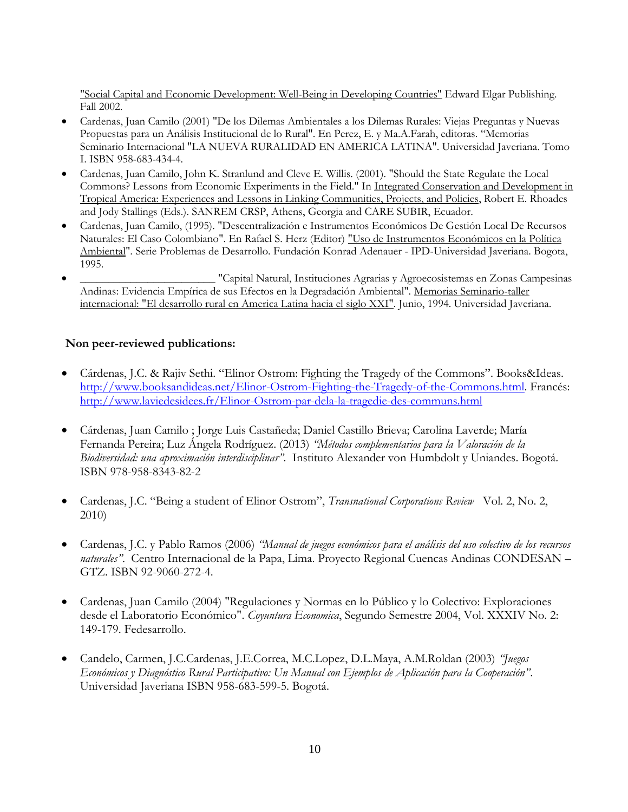"Social Capital and Economic Development: Well-Being in Developing Countries" Edward Elgar Publishing. Fall 2002.

- Cardenas, Juan Camilo (2001) "De los Dilemas Ambientales a los Dilemas Rurales: Viejas Preguntas y Nuevas Propuestas para un Análisis Institucional de lo Rural". En Perez, E. y Ma.A.Farah, editoras. "Memorias Seminario Internacional "LA NUEVA RURALIDAD EN AMERICA LATINA". Universidad Javeriana. Tomo I. ISBN 958-683-434-4.
- Cardenas, Juan Camilo, John K. Stranlund and Cleve E. Willis. (2001). "Should the State Regulate the Local Commons? Lessons from Economic Experiments in the Field." In Integrated Conservation and Development in Tropical America: Experiences and Lessons in Linking Communities, Projects, and Policies, Robert E. Rhoades and Jody Stallings (Eds.). SANREM CRSP, Athens, Georgia and CARE SUBIR, Ecuador.
- Cardenas, Juan Camilo, (1995). "Descentralización e Instrumentos Económicos De Gestión Local De Recursos Naturales: El Caso Colombiano". En Rafael S. Herz (Editor) "Uso de Instrumentos Económicos en la Política Ambiental". Serie Problemas de Desarrollo. Fundación Konrad Adenauer - IPD-Universidad Javeriana. Bogota, 1995.
- \_\_\_\_\_\_\_\_\_\_\_\_\_\_\_\_\_\_\_\_\_\_\_\_ "Capital Natural, Instituciones Agrarias y Agroecosistemas en Zonas Campesinas Andinas: Evidencia Empírica de sus Efectos en la Degradación Ambiental". Memorias Seminario-taller internacional: "El desarrollo rural en America Latina hacia el siglo XXI". Junio, 1994. Universidad Javeriana.

# **Non peer-reviewed publications:**

- Cárdenas, J.C. & Rajiv Sethi. "Elinor Ostrom: Fighting the Tragedy of the Commons". Books&Ideas. [http://www.booksandideas.net/Elinor-Ostrom-Fighting-the-Tragedy-of-the-Commons.html.](http://www.booksandideas.net/Elinor-Ostrom-Fighting-the-Tragedy-of-the-Commons.html) Francés: <http://www.laviedesidees.fr/Elinor-Ostrom-par-dela-la-tragedie-des-communs.html>
- Cárdenas, Juan Camilo ; Jorge Luis Castañeda; Daniel Castillo Brieva; Carolina Laverde; María Fernanda Pereira; Luz Ángela Rodríguez. (2013) *"Métodos complementarios para la Valoración de la Biodiversidad: una aproximación interdisciplinar"*. Instituto Alexander von Humbdolt y Uniandes. Bogotá. ISBN 978-958-8343-82-2
- Cardenas, J.C. "Being a student of Elinor Ostrom", *Transnational Corporations Review* Vol. 2, No. 2, 2010)
- Cardenas, J.C. y Pablo Ramos (2006) *"Manual de juegos económicos para el análisis del uso colectivo de los recursos naturales"*. Centro Internacional de la Papa, Lima. Proyecto Regional Cuencas Andinas CONDESAN – GTZ. ISBN 92-9060-272-4.
- Cardenas, Juan Camilo (2004) "Regulaciones y Normas en lo Público y lo Colectivo: Exploraciones desde el Laboratorio Económico". *Coyuntura Economica*, Segundo Semestre 2004, Vol. XXXIV No. 2: 149-179. Fedesarrollo.
- Candelo, Carmen, J.C.Cardenas, J.E.Correa, M.C.Lopez, D.L.Maya, A.M.Roldan (2003) *"Juegos Económicos y Diagnóstico Rural Participativo: Un Manual con Ejemplos de Aplicación para la Cooperación"*. Universidad Javeriana ISBN 958-683-599-5. Bogotá.